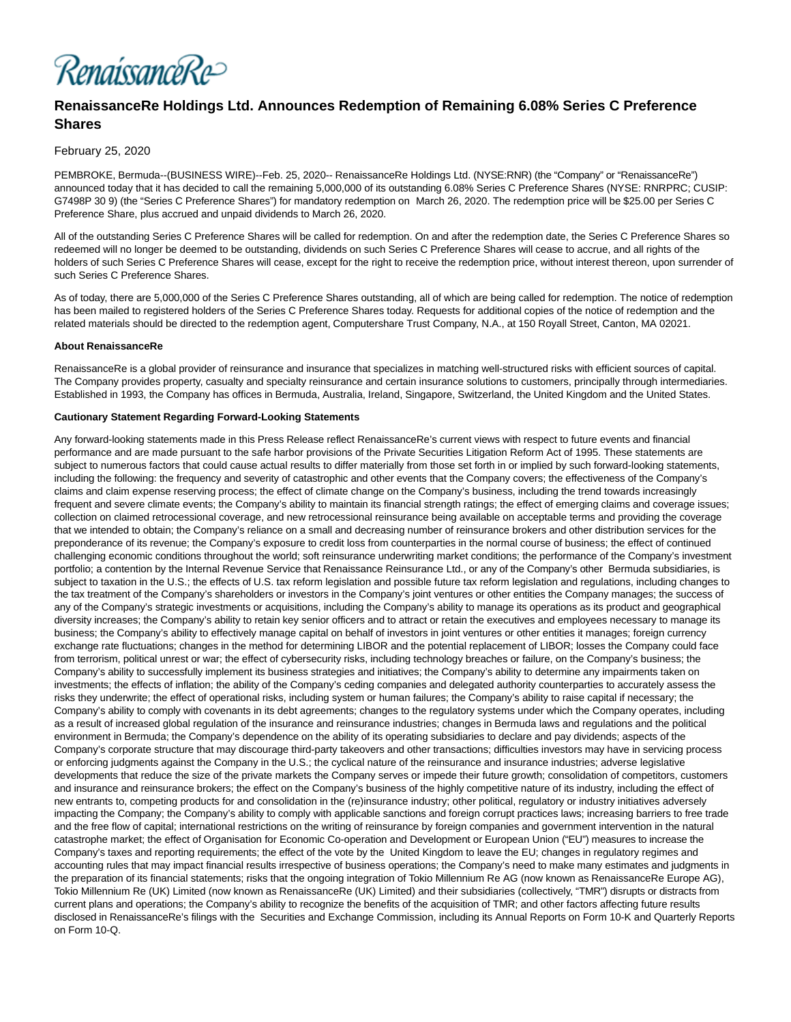

## **RenaissanceRe Holdings Ltd. Announces Redemption of Remaining 6.08% Series C Preference Shares**

## February 25, 2020

PEMBROKE, Bermuda--(BUSINESS WIRE)--Feb. 25, 2020-- RenaissanceRe Holdings Ltd. (NYSE:RNR) (the "Company" or "RenaissanceRe") announced today that it has decided to call the remaining 5,000,000 of its outstanding 6.08% Series C Preference Shares (NYSE: RNRPRC; CUSIP: G7498P 30 9) (the "Series C Preference Shares") for mandatory redemption on March 26, 2020. The redemption price will be \$25.00 per Series C Preference Share, plus accrued and unpaid dividends to March 26, 2020.

All of the outstanding Series C Preference Shares will be called for redemption. On and after the redemption date, the Series C Preference Shares so redeemed will no longer be deemed to be outstanding, dividends on such Series C Preference Shares will cease to accrue, and all rights of the holders of such Series C Preference Shares will cease, except for the right to receive the redemption price, without interest thereon, upon surrender of such Series C Preference Shares.

As of today, there are 5,000,000 of the Series C Preference Shares outstanding, all of which are being called for redemption. The notice of redemption has been mailed to registered holders of the Series C Preference Shares today. Requests for additional copies of the notice of redemption and the related materials should be directed to the redemption agent, Computershare Trust Company, N.A., at 150 Royall Street, Canton, MA 02021.

## **About RenaissanceRe**

RenaissanceRe is a global provider of reinsurance and insurance that specializes in matching well-structured risks with efficient sources of capital. The Company provides property, casualty and specialty reinsurance and certain insurance solutions to customers, principally through intermediaries. Established in 1993, the Company has offices in Bermuda, Australia, Ireland, Singapore, Switzerland, the United Kingdom and the United States.

## **Cautionary Statement Regarding Forward-Looking Statements**

Any forward-looking statements made in this Press Release reflect RenaissanceRe's current views with respect to future events and financial performance and are made pursuant to the safe harbor provisions of the Private Securities Litigation Reform Act of 1995. These statements are subject to numerous factors that could cause actual results to differ materially from those set forth in or implied by such forward-looking statements, including the following: the frequency and severity of catastrophic and other events that the Company covers; the effectiveness of the Company's claims and claim expense reserving process; the effect of climate change on the Company's business, including the trend towards increasingly frequent and severe climate events; the Company's ability to maintain its financial strength ratings; the effect of emerging claims and coverage issues; collection on claimed retrocessional coverage, and new retrocessional reinsurance being available on acceptable terms and providing the coverage that we intended to obtain; the Company's reliance on a small and decreasing number of reinsurance brokers and other distribution services for the preponderance of its revenue; the Company's exposure to credit loss from counterparties in the normal course of business; the effect of continued challenging economic conditions throughout the world; soft reinsurance underwriting market conditions; the performance of the Company's investment portfolio; a contention by the Internal Revenue Service that Renaissance Reinsurance Ltd., or any of the Company's other Bermuda subsidiaries, is subject to taxation in the U.S.; the effects of U.S. tax reform legislation and possible future tax reform legislation and regulations, including changes to the tax treatment of the Company's shareholders or investors in the Company's joint ventures or other entities the Company manages; the success of any of the Company's strategic investments or acquisitions, including the Company's ability to manage its operations as its product and geographical diversity increases; the Company's ability to retain key senior officers and to attract or retain the executives and employees necessary to manage its business; the Company's ability to effectively manage capital on behalf of investors in joint ventures or other entities it manages; foreign currency exchange rate fluctuations; changes in the method for determining LIBOR and the potential replacement of LIBOR; losses the Company could face from terrorism, political unrest or war; the effect of cybersecurity risks, including technology breaches or failure, on the Company's business; the Company's ability to successfully implement its business strategies and initiatives; the Company's ability to determine any impairments taken on investments; the effects of inflation; the ability of the Company's ceding companies and delegated authority counterparties to accurately assess the risks they underwrite; the effect of operational risks, including system or human failures; the Company's ability to raise capital if necessary; the Company's ability to comply with covenants in its debt agreements; changes to the regulatory systems under which the Company operates, including as a result of increased global regulation of the insurance and reinsurance industries; changes in Bermuda laws and regulations and the political environment in Bermuda; the Company's dependence on the ability of its operating subsidiaries to declare and pay dividends; aspects of the Company's corporate structure that may discourage third-party takeovers and other transactions; difficulties investors may have in servicing process or enforcing judgments against the Company in the U.S.; the cyclical nature of the reinsurance and insurance industries; adverse legislative developments that reduce the size of the private markets the Company serves or impede their future growth; consolidation of competitors, customers and insurance and reinsurance brokers; the effect on the Company's business of the highly competitive nature of its industry, including the effect of new entrants to, competing products for and consolidation in the (re)insurance industry; other political, regulatory or industry initiatives adversely impacting the Company; the Company's ability to comply with applicable sanctions and foreign corrupt practices laws; increasing barriers to free trade and the free flow of capital; international restrictions on the writing of reinsurance by foreign companies and government intervention in the natural catastrophe market; the effect of Organisation for Economic Co-operation and Development or European Union ("EU") measures to increase the Company's taxes and reporting requirements; the effect of the vote by the United Kingdom to leave the EU; changes in regulatory regimes and accounting rules that may impact financial results irrespective of business operations; the Company's need to make many estimates and judgments in the preparation of its financial statements; risks that the ongoing integration of Tokio Millennium Re AG (now known as RenaissanceRe Europe AG), Tokio Millennium Re (UK) Limited (now known as RenaissanceRe (UK) Limited) and their subsidiaries (collectively, "TMR") disrupts or distracts from current plans and operations; the Company's ability to recognize the benefits of the acquisition of TMR; and other factors affecting future results disclosed in RenaissanceRe's filings with the Securities and Exchange Commission, including its Annual Reports on Form 10-K and Quarterly Reports on Form 10-Q.